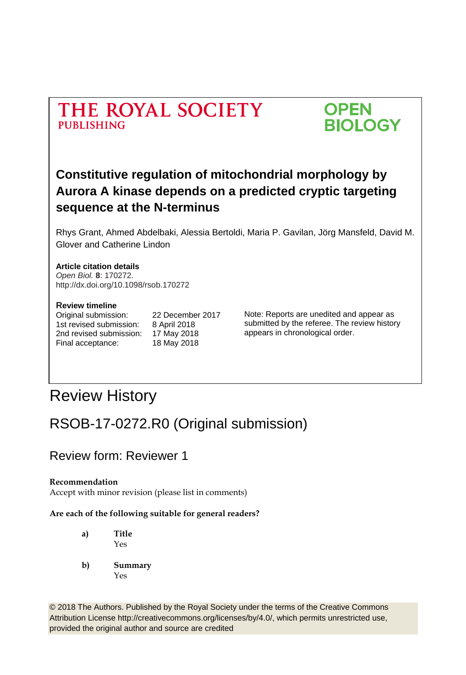



# **Constitutive regulation of mitochondrial morphology by Aurora A kinase depends on a predicted cryptic targeting sequence at the N-terminus**

Rhys Grant, Ahmed Abdelbaki, Alessia Bertoldi, Maria P. Gavilan, Jörg Mansfeld, David M. Glover and Catherine Lindon

#### **Article citation details**

*Open Biol.* **8**: 170272. http://dx.doi.org/10.1098/rsob.170272

#### **Review timeline**

1st revised submission: 8 April 2018 2nd revised submission: 17 May 2018 Final acceptance: 18 May 2018

Original submission: 22 December 2017

Note: Reports are unedited and appear as submitted by the referee. The review history appears in chronological order.

# Review History

# RSOB-17-0272.R0 (Original submission)

### Review form: Reviewer 1

#### **Recommendation**

Accept with minor revision (please list in comments)

#### **Are each of the following suitable for general readers?**

**a) Title** Yes

**b) Summary** Yes

© 2018 The Authors. Published by the Royal Society under the terms of the Creative Commons Attribution License http://creativecommons.org/licenses/by/4.0/, which permits unrestricted use, provided the original author and source are credited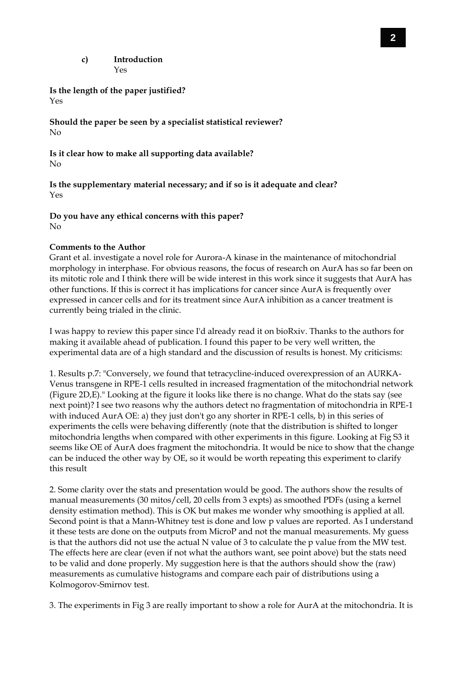**c) Introduction** Yes

**Is the length of the paper justified?** Yes

**Should the paper be seen by a specialist statistical reviewer?** No

**Is it clear how to make all supporting data available?** No

**Is the supplementary material necessary; and if so is it adequate and clear?** Yes

**Do you have any ethical concerns with this paper?** No

#### **Comments to the Author**

Grant et al. investigate a novel role for Aurora-A kinase in the maintenance of mitochondrial morphology in interphase. For obvious reasons, the focus of research on AurA has so far been on its mitotic role and I think there will be wide interest in this work since it suggests that AurA has other functions. If this is correct it has implications for cancer since AurA is frequently over expressed in cancer cells and for its treatment since AurA inhibition as a cancer treatment is currently being trialed in the clinic.

I was happy to review this paper since I'd already read it on bioRxiv. Thanks to the authors for making it available ahead of publication. I found this paper to be very well written, the experimental data are of a high standard and the discussion of results is honest. My criticisms:

1. Results p.7: "Conversely, we found that tetracycline-induced overexpression of an AURKA-Venus transgene in RPE-1 cells resulted in increased fragmentation of the mitochondrial network (Figure 2D,E)." Looking at the figure it looks like there is no change. What do the stats say (see next point)? I see two reasons why the authors detect no fragmentation of mitochondria in RPE-1 with induced AurA OE: a) they just don't go any shorter in RPE-1 cells, b) in this series of experiments the cells were behaving differently (note that the distribution is shifted to longer mitochondria lengths when compared with other experiments in this figure. Looking at Fig S3 it seems like OE of AurA does fragment the mitochondria. It would be nice to show that the change can be induced the other way by OE, so it would be worth repeating this experiment to clarify this result

2. Some clarity over the stats and presentation would be good. The authors show the results of manual measurements (30 mitos/cell, 20 cells from 3 expts) as smoothed PDFs (using a kernel density estimation method). This is OK but makes me wonder why smoothing is applied at all. Second point is that a Mann-Whitney test is done and low p values are reported. As I understand it these tests are done on the outputs from MicroP and not the manual measurements. My guess is that the authors did not use the actual N value of 3 to calculate the p value from the MW test. The effects here are clear (even if not what the authors want, see point above) but the stats need to be valid and done properly. My suggestion here is that the authors should show the (raw) measurements as cumulative histograms and compare each pair of distributions using a Kolmogorov-Smirnov test.

3. The experiments in Fig 3 are really important to show a role for AurA at the mitochondria. It is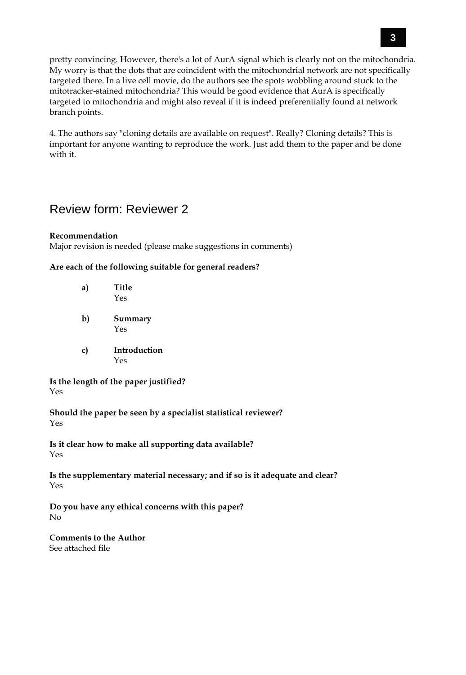pretty convincing. However, there's a lot of AurA signal which is clearly not on the mitochondria. My worry is that the dots that are coincident with the mitochondrial network are not specifically targeted there. In a live cell movie, do the authors see the spots wobbling around stuck to the mitotracker-stained mitochondria? This would be good evidence that AurA is specifically targeted to mitochondria and might also reveal if it is indeed preferentially found at network branch points.

4. The authors say "cloning details are available on request". Really? Cloning details? This is important for anyone wanting to reproduce the work. Just add them to the paper and be done with it.

### Review form: Reviewer 2

#### **Recommendation**

Major revision is needed (please make suggestions in comments)

#### **Are each of the following suitable for general readers?**

| a) | Title<br>Yes        |
|----|---------------------|
| b) | Summary<br>Yes      |
| c) | Introduction<br>Yes |

**Is the length of the paper justified?** Yes

**Should the paper be seen by a specialist statistical reviewer?** Yes

**Is it clear how to make all supporting data available?** Yes

**Is the supplementary material necessary; and if so is it adequate and clear?** Yes

**Do you have any ethical concerns with this paper?** No

**Comments to the Author** See attached file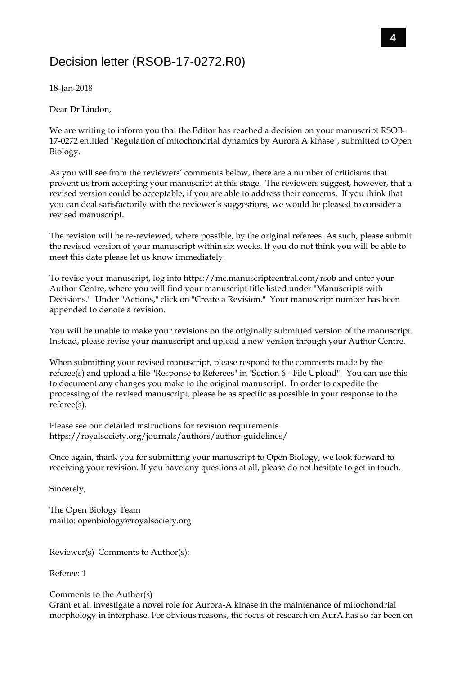### Decision letter (RSOB-17-0272.R0)

18-Jan-2018

Dear Dr Lindon,

We are writing to inform you that the Editor has reached a decision on your manuscript RSOB-17-0272 entitled "Regulation of mitochondrial dynamics by Aurora A kinase", submitted to Open Biology.

As you will see from the reviewers' comments below, there are a number of criticisms that prevent us from accepting your manuscript at this stage. The reviewers suggest, however, that a revised version could be acceptable, if you are able to address their concerns. If you think that you can deal satisfactorily with the reviewer's suggestions, we would be pleased to consider a revised manuscript.

The revision will be re-reviewed, where possible, by the original referees. As such, please submit the revised version of your manuscript within six weeks. If you do not think you will be able to meet this date please let us know immediately.

To revise your manuscript, log into https://mc.manuscriptcentral.com/rsob and enter your Author Centre, where you will find your manuscript title listed under "Manuscripts with Decisions." Under "Actions," click on "Create a Revision." Your manuscript number has been appended to denote a revision.

You will be unable to make your revisions on the originally submitted version of the manuscript. Instead, please revise your manuscript and upload a new version through your Author Centre.

When submitting your revised manuscript, please respond to the comments made by the referee(s) and upload a file "Response to Referees" in "Section 6 - File Upload". You can use this to document any changes you make to the original manuscript. In order to expedite the processing of the revised manuscript, please be as specific as possible in your response to the referee(s).

Please see our detailed instructions for revision requirements https://royalsociety.org/journals/authors/author-guidelines/

Once again, thank you for submitting your manuscript to Open Biology, we look forward to receiving your revision. If you have any questions at all, please do not hesitate to get in touch.

Sincerely,

The Open Biology Team mailto: openbiology@royalsociety.org

Reviewer(s)' Comments to Author(s):

Referee: 1

#### Comments to the Author(s)

Grant et al. investigate a novel role for Aurora-A kinase in the maintenance of mitochondrial morphology in interphase. For obvious reasons, the focus of research on AurA has so far been on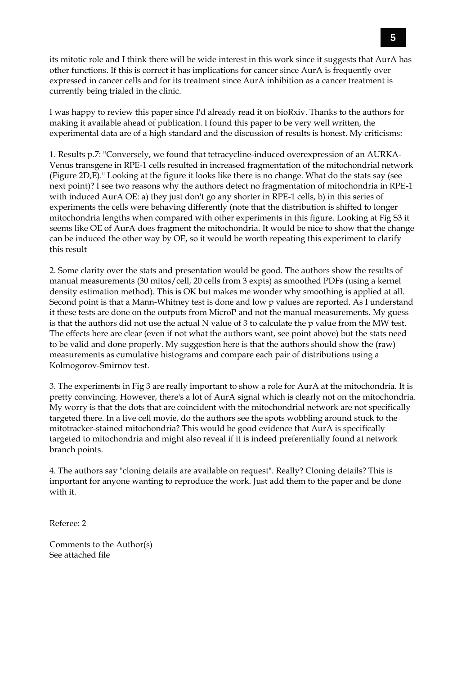its mitotic role and I think there will be wide interest in this work since it suggests that AurA has other functions. If this is correct it has implications for cancer since AurA is frequently over expressed in cancer cells and for its treatment since AurA inhibition as a cancer treatment is currently being trialed in the clinic.

I was happy to review this paper since I'd already read it on bioRxiv. Thanks to the authors for making it available ahead of publication. I found this paper to be very well written, the experimental data are of a high standard and the discussion of results is honest. My criticisms:

1. Results p.7: "Conversely, we found that tetracycline-induced overexpression of an AURKA-Venus transgene in RPE-1 cells resulted in increased fragmentation of the mitochondrial network (Figure 2D,E)." Looking at the figure it looks like there is no change. What do the stats say (see next point)? I see two reasons why the authors detect no fragmentation of mitochondria in RPE-1 with induced AurA OE: a) they just don't go any shorter in RPE-1 cells, b) in this series of experiments the cells were behaving differently (note that the distribution is shifted to longer mitochondria lengths when compared with other experiments in this figure. Looking at Fig S3 it seems like OE of AurA does fragment the mitochondria. It would be nice to show that the change can be induced the other way by OE, so it would be worth repeating this experiment to clarify this result

2. Some clarity over the stats and presentation would be good. The authors show the results of manual measurements (30 mitos/cell, 20 cells from 3 expts) as smoothed PDFs (using a kernel density estimation method). This is OK but makes me wonder why smoothing is applied at all. Second point is that a Mann-Whitney test is done and low p values are reported. As I understand it these tests are done on the outputs from MicroP and not the manual measurements. My guess is that the authors did not use the actual N value of 3 to calculate the p value from the MW test. The effects here are clear (even if not what the authors want, see point above) but the stats need to be valid and done properly. My suggestion here is that the authors should show the (raw) measurements as cumulative histograms and compare each pair of distributions using a Kolmogorov-Smirnov test.

3. The experiments in Fig 3 are really important to show a role for AurA at the mitochondria. It is pretty convincing. However, there's a lot of AurA signal which is clearly not on the mitochondria. My worry is that the dots that are coincident with the mitochondrial network are not specifically targeted there. In a live cell movie, do the authors see the spots wobbling around stuck to the mitotracker-stained mitochondria? This would be good evidence that AurA is specifically targeted to mitochondria and might also reveal if it is indeed preferentially found at network branch points.

4. The authors say "cloning details are available on request". Really? Cloning details? This is important for anyone wanting to reproduce the work. Just add them to the paper and be done with it.

Referee: 2

Comments to the Author(s) See attached file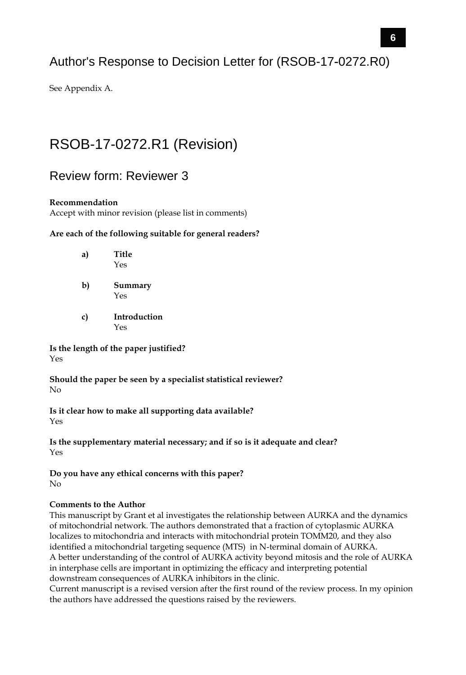### Author's Response to Decision Letter for (RSOB-17-0272.R0)

See Appendix A.

# RSOB-17-0272.R1 (Revision)

### Review form: Reviewer 3

#### **Recommendation**

Accept with minor revision (please list in comments)

#### **Are each of the following suitable for general readers?**

| a) | Title<br>Yes   |
|----|----------------|
| b) | Summary<br>Yes |

**c) Introduction** Yes

**Is the length of the paper justified?**  Yes

**Should the paper be seen by a specialist statistical reviewer?**  No

**Is it clear how to make all supporting data available?**  Yes

**Is the supplementary material necessary; and if so is it adequate and clear?**  Yes

**Do you have any ethical concerns with this paper?**  No

#### **Comments to the Author**

This manuscript by Grant et al investigates the relationship between AURKA and the dynamics of mitochondrial network. The authors demonstrated that a fraction of cytoplasmic AURKA localizes to mitochondria and interacts with mitochondrial protein TOMM20, and they also identified a mitochondrial targeting sequence (MTS) in N-terminal domain of AURKA. A better understanding of the control of AURKA activity beyond mitosis and the role of AURKA in interphase cells are important in optimizing the efficacy and interpreting potential downstream consequences of AURKA inhibitors in the clinic.

Current manuscript is a revised version after the first round of the review process. In my opinion the authors have addressed the questions raised by the reviewers.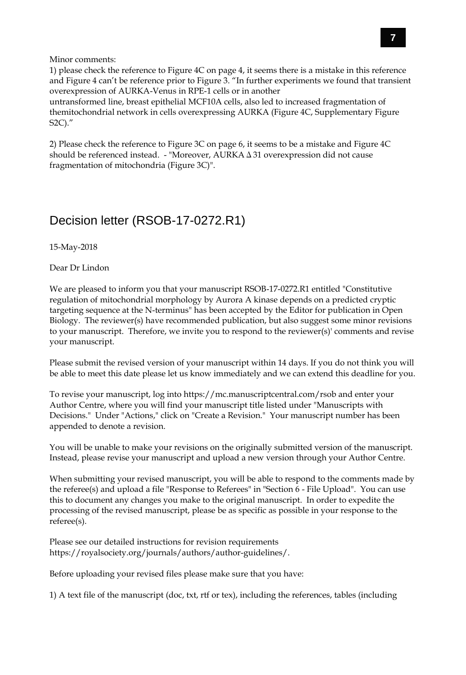Minor comments:

1) please check the reference to Figure 4C on page 4, it seems there is a mistake in this reference and Figure 4 can't be reference prior to Figure 3. "In further experiments we found that transient overexpression of AURKA-Venus in RPE-1 cells or in another untransformed line, breast epithelial MCF10A cells, also led to increased fragmentation of themitochondrial network in cells overexpressing AURKA (Figure 4C, Supplementary Figure S2C)."

2) Please check the reference to Figure 3C on page 6, it seems to be a mistake and Figure 4C should be referenced instead. - "Moreover, AURKAΔ31 overexpression did not cause fragmentation of mitochondria (Figure 3C)".

### Decision letter (RSOB-17-0272.R1)

15-May-2018

Dear Dr Lindon

We are pleased to inform you that your manuscript RSOB-17-0272.R1 entitled "Constitutive regulation of mitochondrial morphology by Aurora A kinase depends on a predicted cryptic targeting sequence at the N-terminus" has been accepted by the Editor for publication in Open Biology. The reviewer(s) have recommended publication, but also suggest some minor revisions to your manuscript. Therefore, we invite you to respond to the reviewer(s)' comments and revise your manuscript.

Please submit the revised version of your manuscript within 14 days. If you do not think you will be able to meet this date please let us know immediately and we can extend this deadline for you.

To revise your manuscript, log into https://mc.manuscriptcentral.com/rsob and enter your Author Centre, where you will find your manuscript title listed under "Manuscripts with Decisions." Under "Actions," click on "Create a Revision." Your manuscript number has been appended to denote a revision.

You will be unable to make your revisions on the originally submitted version of the manuscript. Instead, please revise your manuscript and upload a new version through your Author Centre.

When submitting your revised manuscript, you will be able to respond to the comments made by the referee(s) and upload a file "Response to Referees" in "Section 6 - File Upload". You can use this to document any changes you make to the original manuscript. In order to expedite the processing of the revised manuscript, please be as specific as possible in your response to the referee(s).

Please see our detailed instructions for revision requirements https://royalsociety.org/journals/authors/author-guidelines/.

Before uploading your revised files please make sure that you have:

1) A text file of the manuscript (doc, txt, rtf or tex), including the references, tables (including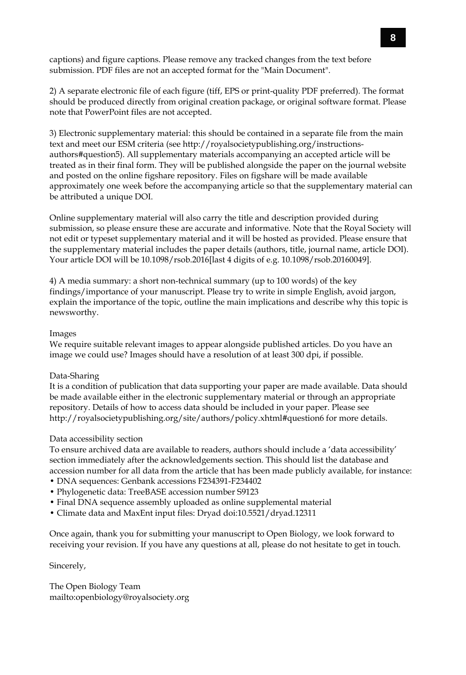captions) and figure captions. Please remove any tracked changes from the text before submission. PDF files are not an accepted format for the "Main Document".

2) A separate electronic file of each figure (tiff, EPS or print-quality PDF preferred). The format should be produced directly from original creation package, or original software format. Please note that PowerPoint files are not accepted.

3) Electronic supplementary material: this should be contained in a separate file from the main text and meet our ESM criteria (see http://royalsocietypublishing.org/instructionsauthors#question5). All supplementary materials accompanying an accepted article will be treated as in their final form. They will be published alongside the paper on the journal website and posted on the online figshare repository. Files on figshare will be made available approximately one week before the accompanying article so that the supplementary material can be attributed a unique DOI.

Online supplementary material will also carry the title and description provided during submission, so please ensure these are accurate and informative. Note that the Royal Society will not edit or typeset supplementary material and it will be hosted as provided. Please ensure that the supplementary material includes the paper details (authors, title, journal name, article DOI). Your article DOI will be 10.1098/rsob.2016[last 4 digits of e.g. 10.1098/rsob.20160049].

4) A media summary: a short non-technical summary (up to 100 words) of the key findings/importance of your manuscript. Please try to write in simple English, avoid jargon, explain the importance of the topic, outline the main implications and describe why this topic is newsworthy.

#### Images

We require suitable relevant images to appear alongside published articles. Do you have an image we could use? Images should have a resolution of at least 300 dpi, if possible.

#### Data-Sharing

It is a condition of publication that data supporting your paper are made available. Data should be made available either in the electronic supplementary material or through an appropriate repository. Details of how to access data should be included in your paper. Please see http://royalsocietypublishing.org/site/authors/policy.xhtml#question6 for more details.

#### Data accessibility section

To ensure archived data are available to readers, authors should include a 'data accessibility' section immediately after the acknowledgements section. This should list the database and accession number for all data from the article that has been made publicly available, for instance:

- DNA sequences: Genbank accessions F234391-F234402
- Phylogenetic data: TreeBASE accession number S9123
- Final DNA sequence assembly uploaded as online supplemental material
- Climate data and MaxEnt input files: Dryad doi:10.5521/dryad.12311

Once again, thank you for submitting your manuscript to Open Biology, we look forward to receiving your revision. If you have any questions at all, please do not hesitate to get in touch.

Sincerely,

The Open Biology Team mailto:openbiology@royalsociety.org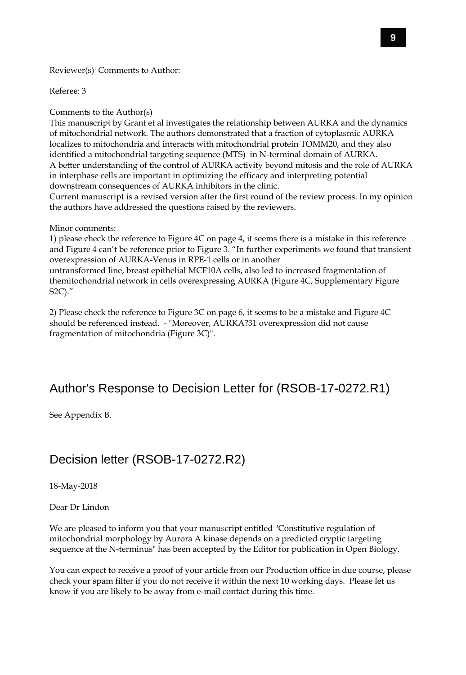Reviewer(s)' Comments to Author:

Referee: 3

Comments to the Author(s)

This manuscript by Grant et al investigates the relationship between AURKA and the dynamics of mitochondrial network. The authors demonstrated that a fraction of cytoplasmic AURKA localizes to mitochondria and interacts with mitochondrial protein TOMM20, and they also identified a mitochondrial targeting sequence (MTS) in N-terminal domain of AURKA. A better understanding of the control of AURKA activity beyond mitosis and the role of AURKA in interphase cells are important in optimizing the efficacy and interpreting potential downstream consequences of AURKA inhibitors in the clinic.

Current manuscript is a revised version after the first round of the review process. In my opinion the authors have addressed the questions raised by the reviewers.

#### Minor comments:

1) please check the reference to Figure 4C on page 4, it seems there is a mistake in this reference and Figure 4 can't be reference prior to Figure 3. "In further experiments we found that transient overexpression of AURKA-Venus in RPE-1 cells or in another

untransformed line, breast epithelial MCF10A cells, also led to increased fragmentation of themitochondrial network in cells overexpressing AURKA (Figure 4C, Supplementary Figure S2C)."

2) Please check the reference to Figure 3C on page 6, it seems to be a mistake and Figure 4C should be referenced instead. - "Moreover, AURKA?31 overexpression did not cause fragmentation of mitochondria (Figure 3C)".

### Author's Response to Decision Letter for (RSOB-17-0272.R1)

See Appendix B.

### Decision letter (RSOB-17-0272.R2)

18-May-2018

Dear Dr Lindon

We are pleased to inform you that your manuscript entitled "Constitutive regulation of mitochondrial morphology by Aurora A kinase depends on a predicted cryptic targeting sequence at the N-terminus" has been accepted by the Editor for publication in Open Biology.

You can expect to receive a proof of your article from our Production office in due course, please check your spam filter if you do not receive it within the next 10 working days. Please let us know if you are likely to be away from e-mail contact during this time.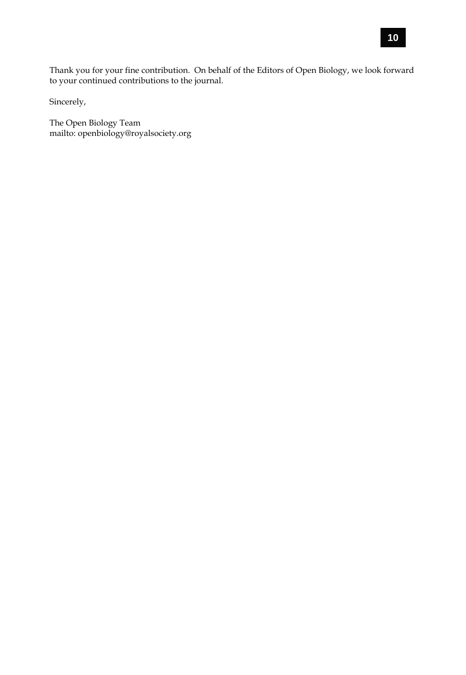Thank you for your fine contribution. On behalf of the Editors of Open Biology, we look forward to your continued contributions to the journal.

Sincerely,

The Open Biology Team mailto: openbiology@royalsociety.org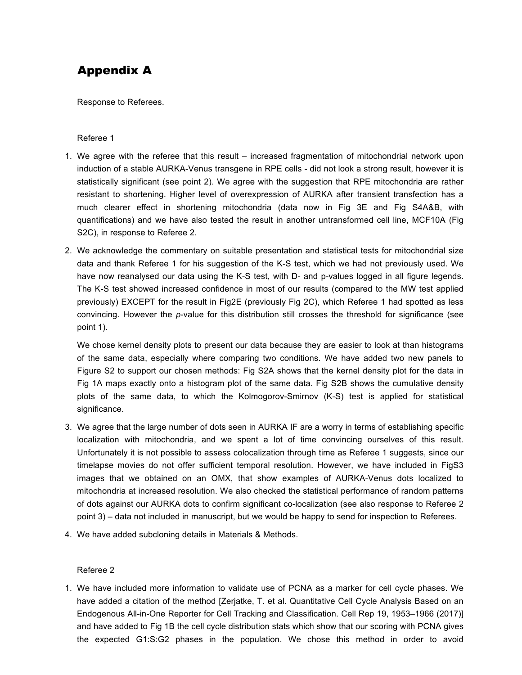# Appendix A

Response to Referees.

#### Referee 1

- 1. We agree with the referee that this result increased fragmentation of mitochondrial network upon induction of a stable AURKA-Venus transgene in RPE cells - did not look a strong result, however it is statistically significant (see point 2). We agree with the suggestion that RPE mitochondria are rather resistant to shortening. Higher level of overexpression of AURKA after transient transfection has a much clearer effect in shortening mitochondria (data now in Fig 3E and Fig S4A&B, with quantifications) and we have also tested the result in another untransformed cell line, MCF10A (Fig S2C), in response to Referee 2.
- 2. We acknowledge the commentary on suitable presentation and statistical tests for mitochondrial size data and thank Referee 1 for his suggestion of the K-S test, which we had not previously used. We have now reanalysed our data using the K-S test, with D- and p-values logged in all figure legends. The K-S test showed increased confidence in most of our results (compared to the MW test applied previously) EXCEPT for the result in Fig2E (previously Fig 2C), which Referee 1 had spotted as less convincing. However the *p*-value for this distribution still crosses the threshold for significance (see point 1).

We chose kernel density plots to present our data because they are easier to look at than histograms of the same data, especially where comparing two conditions. We have added two new panels to Figure S2 to support our chosen methods: Fig S2A shows that the kernel density plot for the data in Fig 1A maps exactly onto a histogram plot of the same data. Fig S2B shows the cumulative density plots of the same data, to which the Kolmogorov-Smirnov (K-S) test is applied for statistical significance.

- 3. We agree that the large number of dots seen in AURKA IF are a worry in terms of establishing specific localization with mitochondria, and we spent a lot of time convincing ourselves of this result. Unfortunately it is not possible to assess colocalization through time as Referee 1 suggests, since our timelapse movies do not offer sufficient temporal resolution. However, we have included in FigS3 images that we obtained on an OMX, that show examples of AURKA-Venus dots localized to mitochondria at increased resolution. We also checked the statistical performance of random patterns of dots against our AURKA dots to confirm significant co-localization (see also response to Referee 2 point 3) – data not included in manuscript, but we would be happy to send for inspection to Referees.
- 4. We have added subcloning details in Materials & Methods.

#### Referee 2

1. We have included more information to validate use of PCNA as a marker for cell cycle phases. We have added a citation of the method [Zerjatke, T. et al. Quantitative Cell Cycle Analysis Based on an Endogenous All-in-One Reporter for Cell Tracking and Classification. Cell Rep 19, 1953–1966 (2017)] and have added to Fig 1B the cell cycle distribution stats which show that our scoring with PCNA gives the expected G1:S:G2 phases in the population. We chose this method in order to avoid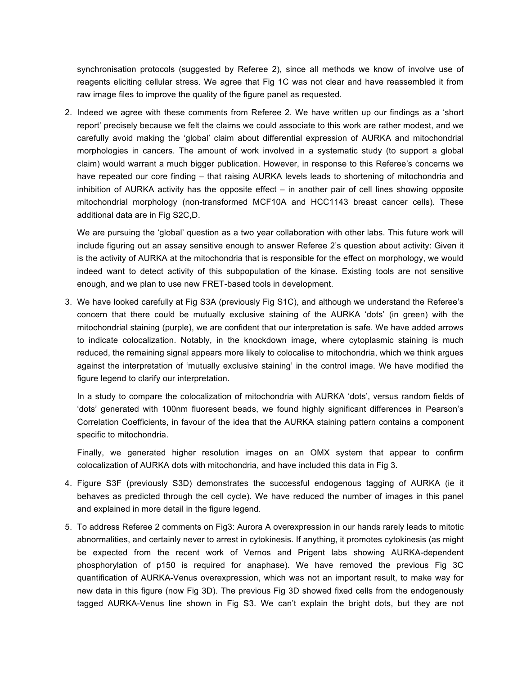synchronisation protocols (suggested by Referee 2), since all methods we know of involve use of reagents eliciting cellular stress. We agree that Fig 1C was not clear and have reassembled it from raw image files to improve the quality of the figure panel as requested.

2. Indeed we agree with these comments from Referee 2. We have written up our findings as a 'short report' precisely because we felt the claims we could associate to this work are rather modest, and we carefully avoid making the 'global' claim about differential expression of AURKA and mitochondrial morphologies in cancers. The amount of work involved in a systematic study (to support a global claim) would warrant a much bigger publication. However, in response to this Referee's concerns we have repeated our core finding – that raising AURKA levels leads to shortening of mitochondria and inhibition of AURKA activity has the opposite effect – in another pair of cell lines showing opposite mitochondrial morphology (non-transformed MCF10A and HCC1143 breast cancer cells). These additional data are in Fig S2C,D.

We are pursuing the 'global' question as a two year collaboration with other labs. This future work will include figuring out an assay sensitive enough to answer Referee 2's question about activity: Given it is the activity of AURKA at the mitochondria that is responsible for the effect on morphology, we would indeed want to detect activity of this subpopulation of the kinase. Existing tools are not sensitive enough, and we plan to use new FRET-based tools in development.

3. We have looked carefully at Fig S3A (previously Fig S1C), and although we understand the Referee's concern that there could be mutually exclusive staining of the AURKA 'dots' (in green) with the mitochondrial staining (purple), we are confident that our interpretation is safe. We have added arrows to indicate colocalization. Notably, in the knockdown image, where cytoplasmic staining is much reduced, the remaining signal appears more likely to colocalise to mitochondria, which we think argues against the interpretation of 'mutually exclusive staining' in the control image. We have modified the figure legend to clarify our interpretation.

In a study to compare the colocalization of mitochondria with AURKA 'dots', versus random fields of 'dots' generated with 100nm fluoresent beads, we found highly significant differences in Pearson's Correlation Coefficients, in favour of the idea that the AURKA staining pattern contains a component specific to mitochondria.

Finally, we generated higher resolution images on an OMX system that appear to confirm colocalization of AURKA dots with mitochondria, and have included this data in Fig 3.

- 4. Figure S3F (previously S3D) demonstrates the successful endogenous tagging of AURKA (ie it behaves as predicted through the cell cycle). We have reduced the number of images in this panel and explained in more detail in the figure legend.
- 5. To address Referee 2 comments on Fig3: Aurora A overexpression in our hands rarely leads to mitotic abnormalities, and certainly never to arrest in cytokinesis. If anything, it promotes cytokinesis (as might be expected from the recent work of Vernos and Prigent labs showing AURKA-dependent phosphorylation of p150 is required for anaphase). We have removed the previous Fig 3C quantification of AURKA-Venus overexpression, which was not an important result, to make way for new data in this figure (now Fig 3D). The previous Fig 3D showed fixed cells from the endogenously tagged AURKA-Venus line shown in Fig S3. We can't explain the bright dots, but they are not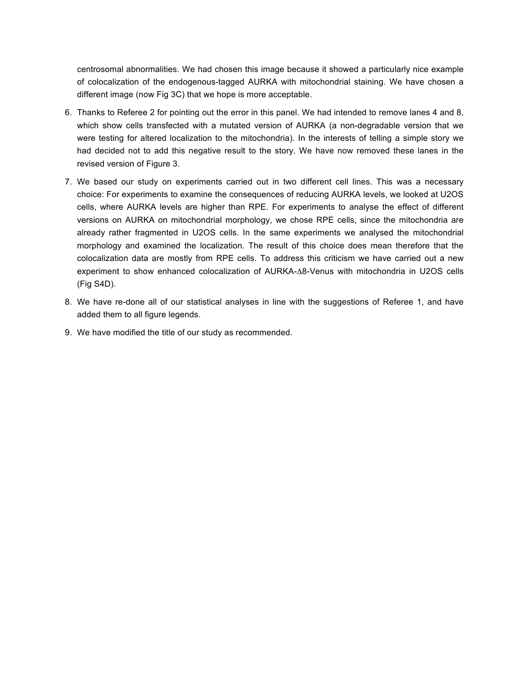centrosomal abnormalities. We had chosen this image because it showed a particularly nice example of colocalization of the endogenous-tagged AURKA with mitochondrial staining. We have chosen a different image (now Fig 3C) that we hope is more acceptable.

- 6. Thanks to Referee 2 for pointing out the error in this panel. We had intended to remove lanes 4 and 8, which show cells transfected with a mutated version of AURKA (a non-degradable version that we were testing for altered localization to the mitochondria). In the interests of telling a simple story we had decided not to add this negative result to the story. We have now removed these lanes in the revised version of Figure 3.
- 7. We based our study on experiments carried out in two different cell lines. This was a necessary choice: For experiments to examine the consequences of reducing AURKA levels, we looked at U2OS cells, where AURKA levels are higher than RPE. For experiments to analyse the effect of different versions on AURKA on mitochondrial morphology, we chose RPE cells, since the mitochondria are already rather fragmented in U2OS cells. In the same experiments we analysed the mitochondrial morphology and examined the localization. The result of this choice does mean therefore that the colocalization data are mostly from RPE cells. To address this criticism we have carried out a new experiment to show enhanced colocalization of AURKA-Δ8-Venus with mitochondria in U2OS cells (Fig S4D).
- 8. We have re-done all of our statistical analyses in line with the suggestions of Referee 1, and have added them to all figure legends.
- 9. We have modified the title of our study as recommended.